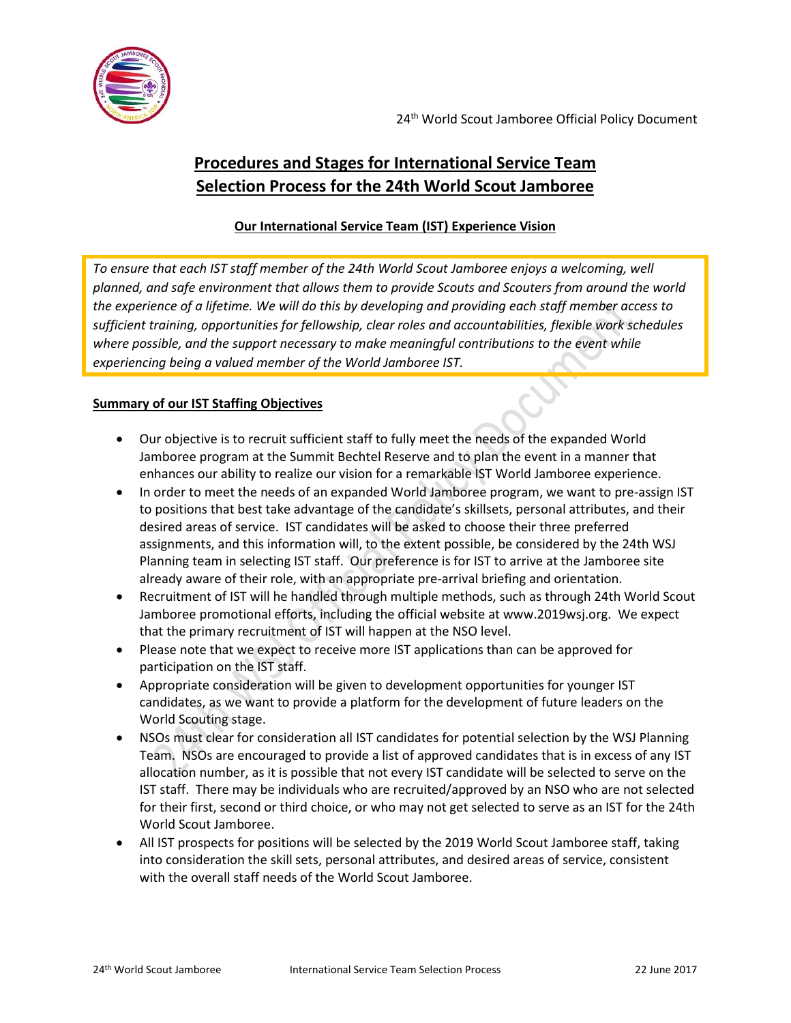

24<sup>th</sup> World Scout Jamboree Official Policy Document

# **Procedures and Stages for International Service Team Selection Process for the 24th World Scout Jamboree**

## **Our International Service Team (IST) Experience Vision**

*To ensure that each IST staff member of the 24th World Scout Jamboree enjoys a welcoming, well planned, and safe environment that allows them to provide Scouts and Scouters from around the world the experience of a lifetime. We will do this by developing and providing each staff member access to sufficient training, opportunities for fellowship, clear roles and accountabilities, flexible work schedules where possible, and the support necessary to make meaningful contributions to the event while experiencing being a valued member of the World Jamboree IST.*

#### **Summary of our IST Staffing Objectives**

- Our objective is to recruit sufficient staff to fully meet the needs of the expanded World Jamboree program at the Summit Bechtel Reserve and to plan the event in a manner that enhances our ability to realize our vision for a remarkable IST World Jamboree experience.
- In order to meet the needs of an expanded World Jamboree program, we want to pre-assign IST to positions that best take advantage of the candidate's skillsets, personal attributes, and their desired areas of service. IST candidates will be asked to choose their three preferred assignments, and this information will, to the extent possible, be considered by the 24th WSJ Planning team in selecting IST staff. Our preference is for IST to arrive at the Jamboree site already aware of their role, with an appropriate pre-arrival briefing and orientation.
- Recruitment of IST will he handled through multiple methods, such as through 24th World Scout Jamboree promotional efforts, including the official website at www.2019wsj.org. We expect that the primary recruitment of IST will happen at the NSO level.
- Please note that we expect to receive more IST applications than can be approved for participation on the IST staff.
- Appropriate consideration will be given to development opportunities for younger IST candidates, as we want to provide a platform for the development of future leaders on the World Scouting stage.
- NSOs must clear for consideration all IST candidates for potential selection by the WSJ Planning Team. NSOs are encouraged to provide a list of approved candidates that is in excess of any IST allocation number, as it is possible that not every IST candidate will be selected to serve on the IST staff. There may be individuals who are recruited/approved by an NSO who are not selected for their first, second or third choice, or who may not get selected to serve as an IST for the 24th World Scout Jamboree.
- All IST prospects for positions will be selected by the 2019 World Scout Jamboree staff, taking into consideration the skill sets, personal attributes, and desired areas of service, consistent with the overall staff needs of the World Scout Jamboree.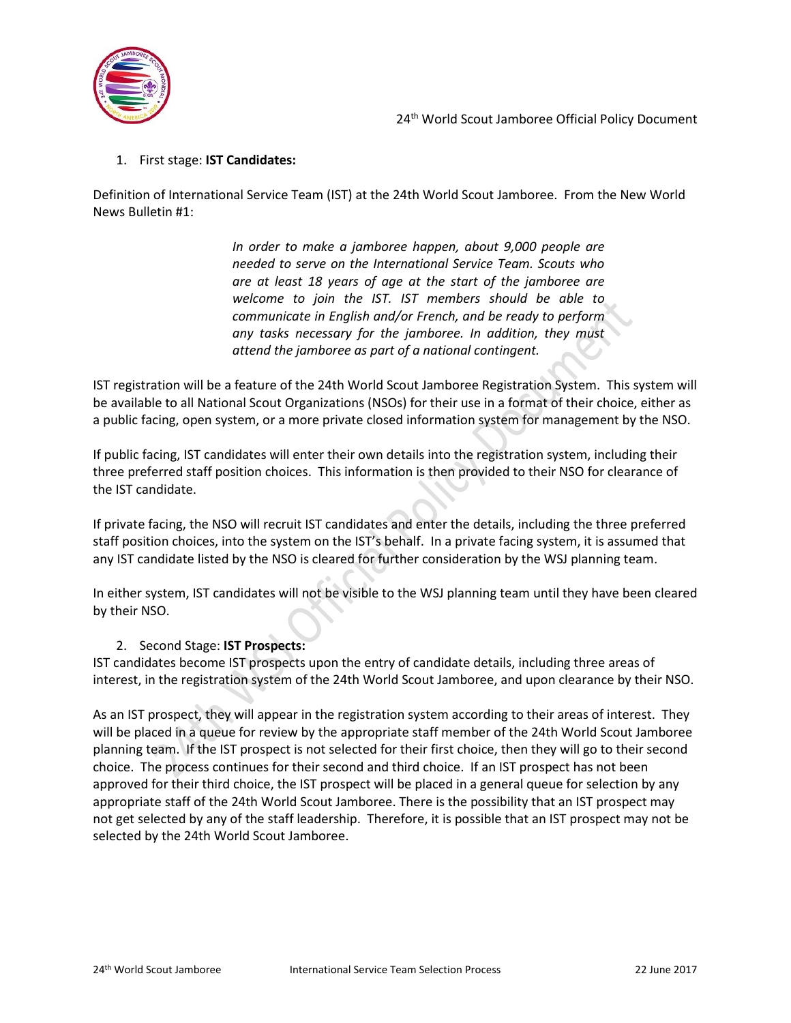

## 1. First stage: **IST Candidates:**

Definition of International Service Team (IST) at the 24th World Scout Jamboree. From the New World News Bulletin #1:

> *In order to make a jamboree happen, about 9,000 people are needed to serve on the International Service Team. Scouts who are at least 18 years of age at the start of the jamboree are welcome to join the IST. IST members should be able to communicate in English and/or French, and be ready to perform any tasks necessary for the jamboree. In addition, they must attend the jamboree as part of a national contingent.*

IST registration will be a feature of the 24th World Scout Jamboree Registration System. This system will be available to all National Scout Organizations (NSOs) for their use in a format of their choice, either as a public facing, open system, or a more private closed information system for management by the NSO.

If public facing, IST candidates will enter their own details into the registration system, including their three preferred staff position choices. This information is then provided to their NSO for clearance of the IST candidate.

If private facing, the NSO will recruit IST candidates and enter the details, including the three preferred staff position choices, into the system on the IST's behalf. In a private facing system, it is assumed that any IST candidate listed by the NSO is cleared for further consideration by the WSJ planning team.

In either system, IST candidates will not be visible to the WSJ planning team until they have been cleared by their NSO.

#### 2. Second Stage: **IST Prospects:**

IST candidates become IST prospects upon the entry of candidate details, including three areas of interest, in the registration system of the 24th World Scout Jamboree, and upon clearance by their NSO.

As an IST prospect, they will appear in the registration system according to their areas of interest. They will be placed in a queue for review by the appropriate staff member of the 24th World Scout Jamboree planning team. If the IST prospect is not selected for their first choice, then they will go to their second choice. The process continues for their second and third choice. If an IST prospect has not been approved for their third choice, the IST prospect will be placed in a general queue for selection by any appropriate staff of the 24th World Scout Jamboree. There is the possibility that an IST prospect may not get selected by any of the staff leadership. Therefore, it is possible that an IST prospect may not be selected by the 24th World Scout Jamboree.